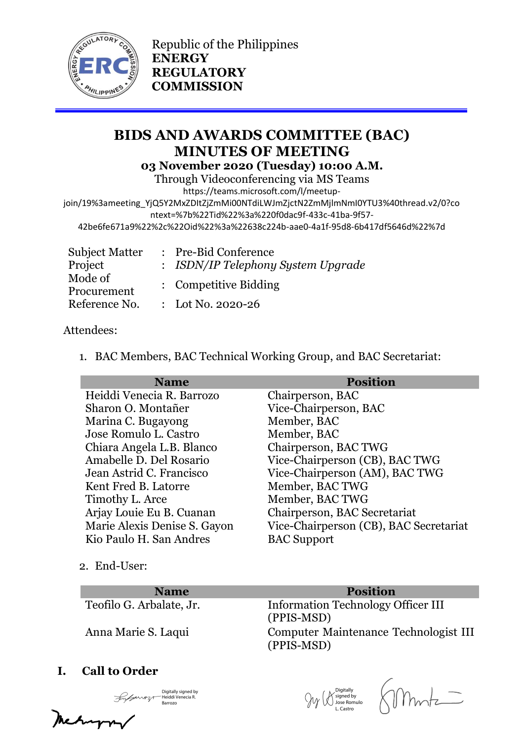

Republic of the Philippines **ENERGY REGULATORY COMMISSION**

# **BIDS AND AWARDS COMMITTEE (BAC) MINUTES OF MEETING 03 November 2020 (Tuesday) 10:00 A.M.**

Through Videoconferencing via MS Teams

https://teams.microsoft.com/l/meetup-

join/19%3ameeting\_YjQ5Y2MxZDItZjZmMi00NTdiLWJmZjctN2ZmMjlmNmI0YTU3%40thread.v2/0?co ntext=%7b%22Tid%22%3a%220f0dac9f-433c-41ba-9f57-

42be6fe671a9%22%2c%22Oid%22%3a%22638c224b-aae0-4a1f-95d8-6b417df5646d%22%7d

| <b>Subject Matter</b> | : Pre-Bid Conference               |  |
|-----------------------|------------------------------------|--|
| Project               | : ISDN/IP Telephony System Upgrade |  |
| Mode of               | : Competitive Bidding              |  |
| Procurement           |                                    |  |
| Reference No.         | : Lot No. 2020-26                  |  |

# Attendees:

1. BAC Members, BAC Technical Working Group, and BAC Secretariat:

| <b>Name</b>                  | <b>Position</b>                        |
|------------------------------|----------------------------------------|
| Heiddi Venecia R. Barrozo    | Chairperson, BAC                       |
| Sharon O. Montañer           | Vice-Chairperson, BAC                  |
| Marina C. Bugayong           | Member, BAC                            |
| Jose Romulo L. Castro        | Member, BAC                            |
| Chiara Angela L.B. Blanco    | Chairperson, BAC TWG                   |
| Amabelle D. Del Rosario      | Vice-Chairperson (CB), BAC TWG         |
| Jean Astrid C. Francisco     | Vice-Chairperson (AM), BAC TWG         |
| Kent Fred B. Latorre         | Member, BAC TWG                        |
| Timothy L. Arce              | Member, BAC TWG                        |
| Arjay Louie Eu B. Cuanan     | Chairperson, BAC Secretariat           |
| Marie Alexis Denise S. Gayon | Vice-Chairperson (CB), BAC Secretariat |
| Kio Paulo H. San Andres      | <b>BAC Support</b>                     |

2. End-User:

## **Name Position**

Teofilo G. Arbalate, Jr. Information Technology Officer III (PPIS-MSD) Anna Marie S. Laqui Computer Maintenance Technologist III (PPIS-MSD)

# **I. Call to Order**

Digitally signed by Heiddi Venecia R. Barrozo

Amyry

Digitally signed by Jose Romulo L. Castro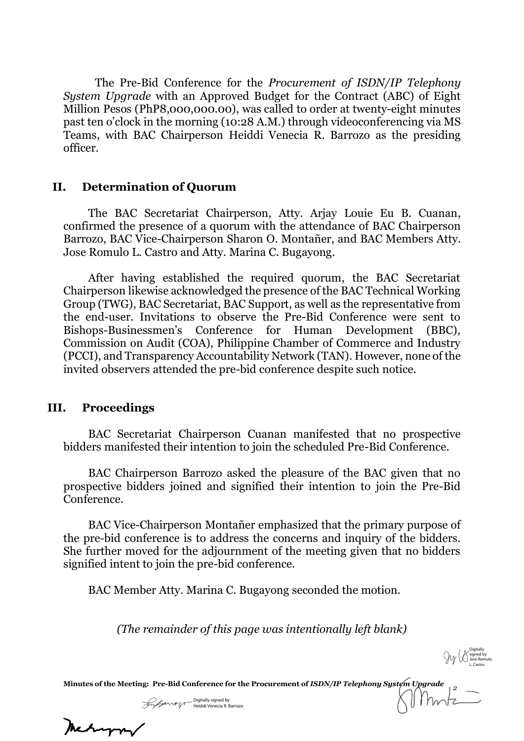The Pre-Bid Conference for the *Procurement of ISDN/IP Telephony System Upgrade* with an Approved Budget for the Contract (ABC) of Eight Million Pesos (PhP8,000,000.00), was called to order at twenty-eight minutes past ten o'clock in the morning (10:28 A.M.) through videoconferencing via MS Teams, with BAC Chairperson Heiddi Venecia R. Barrozo as the presiding officer.

### **II. Determination of Quorum**

The BAC Secretariat Chairperson, Atty. Arjay Louie Eu B. Cuanan, confirmed the presence of a quorum with the attendance of BAC Chairperson Barrozo, BAC Vice-Chairperson Sharon O. Montañer, and BAC Members Atty. Jose Romulo L. Castro and Atty. Marina C. Bugayong.

After having established the required quorum, the BAC Secretariat Chairperson likewise acknowledged the presence of the BAC Technical Working Group (TWG), BAC Secretariat, BAC Support, as well as the representative from the end-user. Invitations to observe the Pre-Bid Conference were sent to Bishops-Businessmen's Conference for Human Development (BBC), Commission on Audit (COA), Philippine Chamber of Commerce and Industry (PCCI), and Transparency Accountability Network (TAN). However, none of the invited observers attended the pre-bid conference despite such notice.

#### **III. Proceedings**

BAC Secretariat Chairperson Cuanan manifested that no prospective bidders manifested their intention to join the scheduled Pre-Bid Conference.

BAC Chairperson Barrozo asked the pleasure of the BAC given that no prospective bidders joined and signified their intention to join the Pre-Bid Conference.

BAC Vice-Chairperson Montañer emphasized that the primary purpose of the pre-bid conference is to address the concerns and inquiry of the bidders. She further moved for the adjournment of the meeting given that no bidders signified intent to join the pre-bid conference.

BAC Member Atty. Marina C. Bugayong seconded the motion.

*(The remainder of this page was intentionally left blank)*

Digitally signed by Jose Romulo L. Castro

**Minutes of the Meeting: Pre-Bid Conference for the Procurement of** *ISDN/IP Telephony System Upgrade 2*

Digitally signed by Heiddi Venecia R. Barrozo

Mehapor